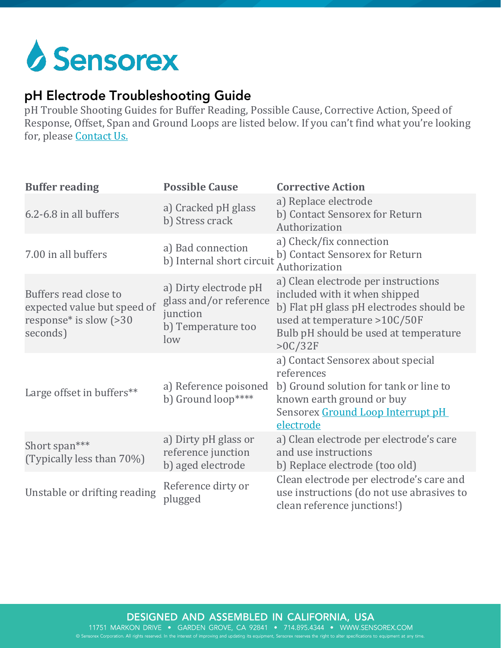

### pH Electrode Troubleshooting Guide

pH Trouble Shooting Guides for Buffer Reading, Possible Cause, Corrective Action, Speed of Response, Offset, Span and Ground Loops are listed below. If you can't find what you're looking for, please [Contact Us.](https://sensorex.com/contact)

| <b>Buffer reading</b>                                                                      | <b>Possible Cause</b>                                                                    | <b>Corrective Action</b>                                                                                                                                                                             |
|--------------------------------------------------------------------------------------------|------------------------------------------------------------------------------------------|------------------------------------------------------------------------------------------------------------------------------------------------------------------------------------------------------|
| 6.2-6.8 in all buffers                                                                     | a) Cracked pH glass<br>b) Stress crack                                                   | a) Replace electrode<br>b) Contact Sensorex for Return<br>Authorization                                                                                                                              |
| 7.00 in all buffers                                                                        | a) Bad connection<br>b) Internal short circuit                                           | a) Check/fix connection<br>b) Contact Sensorex for Return<br>Authorization                                                                                                                           |
| Buffers read close to<br>expected value but speed of<br>response* is slow (>30<br>seconds) | a) Dirty electrode pH<br>glass and/or reference<br>junction<br>b) Temperature too<br>low | a) Clean electrode per instructions<br>included with it when shipped<br>b) Flat pH glass pH electrodes should be<br>used at temperature >10C/50F<br>Bulb pH should be used at temperature<br>>0C/32F |
| Large offset in buffers**                                                                  | a) Reference poisoned<br>b) Ground loop****                                              | a) Contact Sensorex about special<br>references<br>b) Ground solution for tank or line to<br>known earth ground or buy<br>Sensorex Ground Loop Interrupt pH<br>electrode                             |
| Short span***<br>(Typically less than 70%)                                                 | a) Dirty pH glass or<br>reference junction<br>b) aged electrode                          | a) Clean electrode per electrode's care<br>and use instructions<br>b) Replace electrode (too old)                                                                                                    |
| Unstable or drifting reading                                                               | Reference dirty or<br>plugged                                                            | Clean electrode per electrode's care and<br>use instructions (do not use abrasives to<br>clean reference junctions!)                                                                                 |

DESIGNED AND ASSEMBLED IN CALIFORNIA, USA

11751 MARKON DRIVE . GARDEN GROVE, CA 92841 . 714.895.4344 . WWW.SENSOREX.COM © Sensorex Corporation. All rights reserved. In the interest of improving and updating its equipment, Sensorex reserves the right to alter specifications to equipment at any time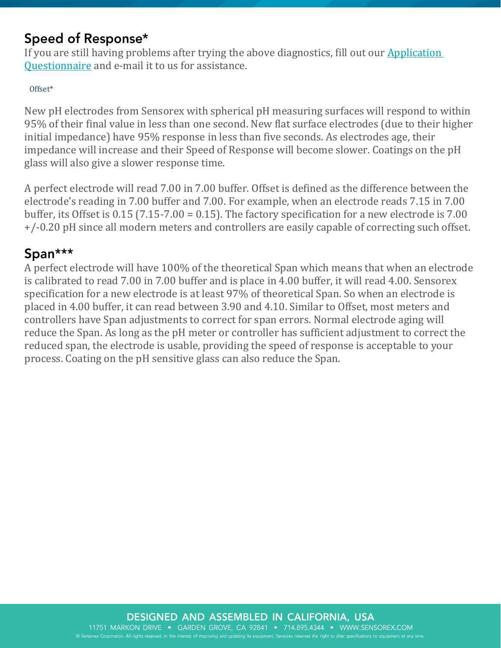# Speed of Response\*

If you are still having problems after trying the above diagnostics, fill out our Application [Questionnaire](https://sensorex.com/contact) and e-mail it to us for assistance.

#### Offset\*

New pH electrodes from Sensorex with spherical pH measuring surfaces will respond to within 95% of their final value in less than one second. New flat surface electrodes (due to their higher initial impedance) have 95% response in less than five seconds. As electrodes age, their impedance will increase and their Speed of Response will become slower. Coatings on the pH glass will also give a slower response time.

A perfect electrode will read 7.00 in 7.00 buffer. Offset is defined as the difference between the electrode's reading in 7.00 buffer and 7.00. For example, when an electrode reads 7.15 in 7.00 buffer, its Offset is 0.15 (7.15-7.00 = 0.15). The factory specification for a new electrode is 7.00 +/-0.20 pH since all modern meters and controllers are easily capable of correcting such offset.

### Span\*\*\*

A perfect electrode will have 100% of the theoretical Span which means that when an electrode is calibrated to read 7.00 in 7.00 buffer and is place in 4.00 buffer, it will read 4.00. Sensorex specification for a new electrode is at least 97% of theoretical Span. So when an electrode is placed in 4.00 buffer, it can read between 3.90 and 4.10. Similar to Offset, most meters and controllers have Span adjustments to correct for span errors. Normal electrode aging will reduce the Span. As long as the pH meter or controller has sufficient adjustment to correct the reduced span, the electrode is usable, providing the speed of response is acceptable to your process. Coating on the pH sensitive glass can also reduce the Span.